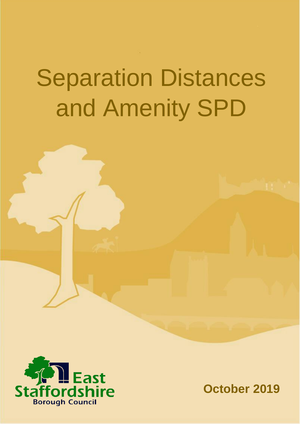# Separation Distances and Amenity SPD



**October 2019**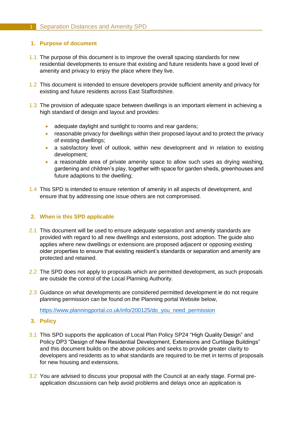# **1. Purpose of document**

- 1.1 The purpose of this document is to improve the overall spacing standards for new residential developments to ensure that existing and future residents have a good level of amenity and privacy to enjoy the place where they live.
- 1.2 This document is intended to ensure developers provide sufficient amenity and privacy for existing and future residents across East Staffordshire.
- 1.3 The provision of adequate space between dwellings is an important element in achieving a high standard of design and layout and provides:
	- adequate daylight and sunlight to rooms and rear gardens;
	- reasonable privacy for dwellings within their proposed layout and to protect the privacy of existing dwellings;
	- a satisfactory level of outlook, within new development and in relation to existing development;
	- a reasonable area of private amenity space to allow such uses as drying washing, gardening and children's play, together with space for garden sheds, greenhouses and future adaptions to the dwelling;
- 1.4 This SPD is intended to ensure retention of amenity in all aspects of development, and ensure that by addressing one issue others are not compromised.

# **2. When is this SPD applicable**

- 2.1 This document will be used to ensure adequate separation and amenity standards are provided with regard to all new dwellings and extensions, post adoption. The guide also applies where new dwellings or extensions are proposed adjacent or opposing existing older properties to ensure that existing resident's standards or separation and amenity are protected and retained.
- 2.2 The SPD does not apply to proposals which are permitted development, as such proposals are outside the control of the Local Planning Authority.
- 2.3 Guidance on what developments are considered permitted development ie do not require planning permission can be found on the Planning portal Website below,

[https://www.planningportal.co.uk/info/200125/do\\_you\\_need\\_permission](https://www.planningportal.co.uk/info/200125/do_you_need_permission)

- **3. Policy**
- 3.1 This SPD supports the application of Local Plan Policy SP24 "High Quality Design" and Policy DP3 "Design of New Residential Development, Extensions and Curtilage Buildings" and this document builds on the above policies and seeks to provide greater clarity to developers and residents as to what standards are required to be met in terms of proposals for new housing and extensions.
- 3.2 You are advised to discuss your proposal with the Council at an early stage. Formal preapplication discussions can help avoid problems and delays once an application is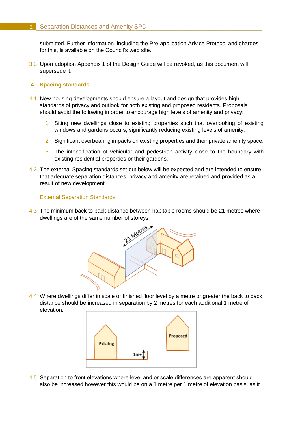submitted. Further information, including the Pre-application Advice Protocol and charges for this, is available on the Council's web site.

3.3 Upon adoption Appendix 1 of the Design Guide will be revoked, as this document will supersede it.

# **4. Spacing standards**

- 4.1 New housing developments should ensure a layout and design that provides high standards of privacy and outlook for both existing and proposed residents. Proposals should avoid the following in order to encourage high levels of amenity and privacy:
	- 1. Siting new dwellings close to existing properties such that overlooking of existing windows and gardens occurs, significantly reducing existing levels of amenity.
	- 2. Significant overbearing impacts on existing properties and their private amenity space.
	- 3. The intensification of vehicular and pedestrian activity close to the boundary with existing residential properties or their gardens.
- 4.2 The external Spacing standards set out below will be expected and are intended to ensure that adequate separation distances, privacy and amenity are retained and provided as a result of new development.

External Separation Standards

4.3 The minimum back to back distance between habitable rooms should be 21 metres where dwellings are of the same number of storeys



4.4 Where dwellings differ in scale or finished floor level by a metre or greater the back to back distance should be increased in separation by 2 metres for each additional 1 metre of elevation.



4.5 Separation to front elevations where level and or scale differences are apparent should also be increased however this would be on a 1 metre per 1 metre of elevation basis, as it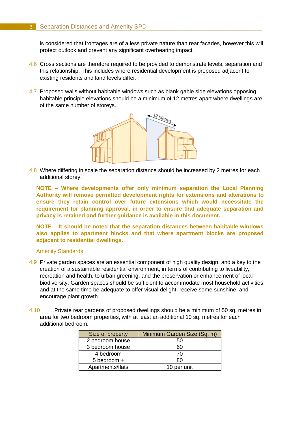# **3** Separation Distances and Amenity SPD

is considered that frontages are of a less private nature than rear facades, however this will protect outlook and prevent any significant overbearing impact.

- 4.6 Cross sections are therefore required to be provided to demonstrate levels, separation and this relationship. This includes where residential development is proposed adjacent to existing residents and land levels differ.
- 4.7 Proposed walls without habitable windows such as blank gable side elevations opposing habitable principle elevations should be a minimum of 12 metres apart where dwellings are of the same number of storeys.



4.8 Where differing in scale the separation distance should be increased by 2 metres for each additional storey.

**NOTE – Where developments offer only minimum separation the Local Planning Authority will remove permitted development rights for extensions and alterations to ensure they retain control over future extensions which would necessitate the requirement for planning approval, in order to ensure that adequate separation and privacy is retained and further guidance is available in this document..**

**NOTE – It should be noted that the separation distances between habitable windows also applies to apartment blocks and that where apartment blocks are proposed adjacent to residential dwellings.**

### Amenity Standards

- 4.9 Private garden spaces are an essential component of high quality design, and a key to the creation of a sustainable residential environment, in terms of contributing to liveability, recreation and health, to urban greening, and the preservation or enhancement of local biodiversity. Garden spaces should be sufficient to accommodate most household activities and at the same time be adequate to offer visual delight, receive some sunshine, and encourage plant growth.
- 4.10 Private rear gardens of proposed dwellings should be a minimum of 50 sq. metres in area for two bedroom properties, with at least an additional 10 sq. metres for each additional bedroom.

| Size of property | Minimum Garden Size (Sq. m) |
|------------------|-----------------------------|
| 2 bedroom house  | 50                          |
| 3 bedroom house  | 60                          |
| 4 bedroom        | 70                          |
| 5 bedroom +      | 80                          |
| Apartments/flats | 10 per unit                 |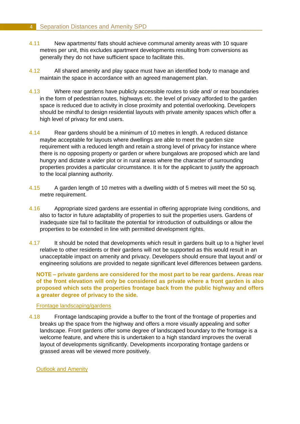- 4.11 New apartments/ flats should achieve communal amenity areas with 10 square metres per unit, this excludes apartment developments resulting from conversions as generally they do not have sufficient space to facilitate this.
- 4.12 All shared amenity and play space must have an identified body to manage and maintain the space in accordance with an agreed management plan.
- 4.13 Where rear gardens have publicly accessible routes to side and/ or rear boundaries in the form of pedestrian routes, highways etc. the level of privacy afforded to the garden space is reduced due to activity in close proximity and potential overlooking. Developers should be mindful to design residential layouts with private amenity spaces which offer a high level of privacy for end users.
- 4.14 Rear gardens should be a minimum of 10 metres in length. A reduced distance maybe acceptable for layouts where dwellings are able to meet the garden size requirement with a reduced length and retain a strong level of privacy for instance where there is no opposing property or garden or where bungalows are proposed which are land hungry and dictate a wider plot or in rural areas where the character of surrounding properties provides a particular circumstance. It is for the applicant to justify the approach to the local planning authority.
- 4.15 A garden length of 10 metres with a dwelling width of 5 metres will meet the 50 sq. metre requirement.
- 4.16 Appropriate sized gardens are essential in offering appropriate living conditions, and also to factor in future adaptability of properties to suit the properties users. Gardens of inadequate size fail to facilitate the potential for introduction of outbuildings or allow the properties to be extended in line with permitted development rights.
- 4.17 It should be noted that developments which result in gardens built up to a higher level relative to other residents or their gardens will not be supported as this would result in an unacceptable impact on amenity and privacy. Developers should ensure that layout and/ or engineering solutions are provided to negate significant level differences between gardens.

**NOTE – private gardens are considered for the most part to be rear gardens. Areas rear of the front elevation will only be considered as private where a front garden is also proposed which sets the properties frontage back from the public highway and offers a greater degree of privacy to the side.**

# Frontage landscaping/gardens

4.18 Frontage landscaping provide a buffer to the front of the frontage of properties and breaks up the space from the highway and offers a more visually appealing and softer landscape. Front gardens offer some degree of landscaped boundary to the frontage is a welcome feature, and where this is undertaken to a high standard improves the overall layout of developments significantly. Developments incorporating frontage gardens or grassed areas will be viewed more positively.

Outlook and Amenity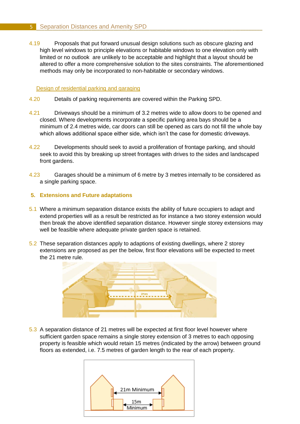4.19 Proposals that put forward unusual design solutions such as obscure glazing and high level windows to principle elevations or habitable windows to one elevation only with limited or no outlook are unlikely to be acceptable and highlight that a layout should be altered to offer a more comprehensive solution to the sites constraints. The aforementioned methods may only be incorporated to non-habitable or secondary windows.

# Design of residential parking and garaging

- 4.20 Details of parking requirements are covered within the Parking SPD.
- 4.21 Driveways should be a minimum of 3.2 metres wide to allow doors to be opened and closed. Where developments incorporate a specific parking area bays should be a minimum of 2.4 metres wide, car doors can still be opened as cars do not fill the whole bay which allows additional space either side, which isn't the case for domestic driveways.
- 4.22 Developments should seek to avoid a proliferation of frontage parking, and should seek to avoid this by breaking up street frontages with drives to the sides and landscaped front gardens.
- 4.23 Garages should be a minimum of 6 metre by 3 metres internally to be considered as a single parking space.

# **5. Extensions and Future adaptations**

- 5.1 Where a minimum separation distance exists the ability of future occupiers to adapt and extend properties will as a result be restricted as for instance a two storey extension would then break the above identified separation distance. However single storey extensions may well be feasible where adequate private garden space is retained.
- 5.2 These separation distances apply to adaptions of existing dwellings, where 2 storey extensions are proposed as per the below, first floor elevations will be expected to meet the 21 metre rule.



5.3 A separation distance of 21 metres will be expected at first floor level however where sufficient garden space remains a single storey extension of 3 metres to each opposing property is feasible which would retain 15 metres (indicated by the arrow) between ground floors as extended, i.e. 7.5 metres of garden length to the rear of each property.

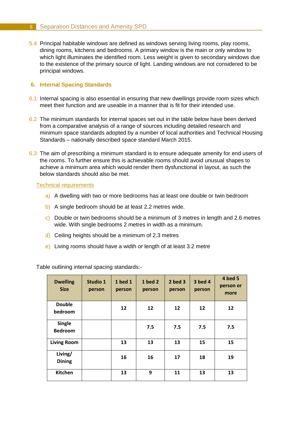5.4 Principal habitable windows are defined as windows serving living rooms, play rooms, dining rooms, kitchens and bedrooms. A primary window is the main or only window to which light illuminates the identified room. Less weight is given to secondary windows due to the existence of the primary source of light. Landing windows are not considered to be principal windows.

# **6. Internal Spacing Standards**

- 6.1 Internal spacing is also essential in ensuring that new dwellings provide room sizes which meet their function and are useable in a manner that is fit for their intended use.
- 6.2 The minimum standards for internal spaces set out in the table below have been derived from a comparative analysis of a range of sources including detailed research and minimum space standards adopted by a number of local authorities and Technical Housing Standards – nationally described space standard March 2015.
- 6.3 The aim of prescribing a minimum standard is to ensure adequate amenity for end users of the rooms. To further ensure this is achievable rooms should avoid unusual shapes to achieve a minimum area which would render them dysfunctional in layout, as such the below standards should also be met.

### Technical requirements

- a) A dwelling with two or more bedrooms has at least one double or twin bedroom
- b) A single bedroom should be at least 2.2 metres wide.
- c) Double or twin bedrooms should be a minimum of 3 metres in length and 2.6 metres wide. With single bedrooms 2 metres in width as a minimum.
- d) Ceiling heights should be a minimum of 2.3 metres
- e) Living rooms should have a width or length of at least 3.2 metre

Table outlining internal spacing standards:-

| <b>Dwelling</b><br><b>Size</b>  | Studio 1<br>person | <b>1</b> bed 1<br>person | <b>1 bed 2</b><br>person | $2$ bed $3$<br>person | <b>3 bed 4</b><br>person | 4 bed 5<br>person or<br>more |
|---------------------------------|--------------------|--------------------------|--------------------------|-----------------------|--------------------------|------------------------------|
| <b>Double</b><br>bedroom        |                    | 12                       | 12                       | 12                    | 12                       | 12                           |
| <b>Single</b><br><b>Bedroom</b> |                    |                          | 7.5                      | 7.5                   | 7.5                      | 7.5                          |
| <b>Living Room</b>              |                    | 13                       | 13                       | 13                    | 15                       | 15                           |
| Living/<br><b>Dining</b>        |                    | 16                       | 16                       | 17                    | 18                       | 19                           |
| <b>Kitchen</b>                  |                    | 13                       | 9                        | 11                    | 13                       | 13                           |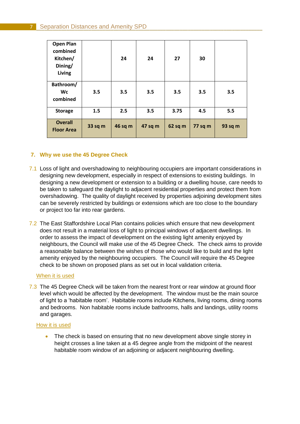| <b>Open Plan</b><br>combined<br>Kitchen/<br>Dining/<br>Living |         | 24      | 24      | 27      | 30      |         |
|---------------------------------------------------------------|---------|---------|---------|---------|---------|---------|
| Bathroom/<br>Wc<br>combined                                   | 3.5     | 3.5     | 3.5     | 3.5     | 3.5     | 3.5     |
| <b>Storage</b>                                                | 1.5     | 2.5     | 3.5     | 3.75    | 4.5     | 5.5     |
| <b>Overall</b><br><b>Floor Area</b>                           | 33 sq m | 46 sq m | 47 sq m | 62 sq m | 77 sq m | 93 sq m |

# **7. Why we use the 45 Degree Check**

- 7.1 Loss of light and overshadowing to neighbouring occupiers are important considerations in designing new development, especially in respect of extensions to existing buildings. In designing a new development or extension to a building or a dwelling house, care needs to be taken to safeguard the daylight to adjacent residential properties and protect them from overshadowing. The quality of daylight received by properties adjoining development sites can be severely restricted by buildings or extensions which are too close to the boundary or project too far into rear gardens.
- 7.2 The East Staffordshire Local Plan contains policies which ensure that new development does not result in a material loss of light to principal windows of adjacent dwellings. In order to assess the impact of development on the existing light amenity enjoyed by neighbours, the Council will make use of the 45 Degree Check. The check aims to provide a reasonable balance between the wishes of those who would like to build and the light amenity enjoyed by the neighbouring occupiers. The Council will require the 45 Degree check to be shown on proposed plans as set out in local validation criteria.

### When it is used

7.3 The 45 Degree Check will be taken from the nearest front or rear window at ground floor level which would be affected by the development. The window must be the main source of light to a 'habitable room'. Habitable rooms include Kitchens, living rooms, dining rooms and bedrooms. Non habitable rooms include bathrooms, halls and landings, utility rooms and garages.

### How it is used

 The check is based on ensuring that no new development above single storey in height crosses a line taken at a 45 degree angle from the midpoint of the nearest habitable room window of an adjoining or adjacent neighbouring dwelling.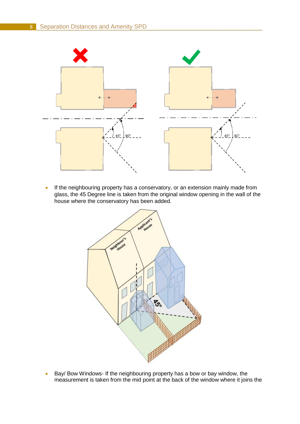

• If the neighbouring property has a conservatory, or an extension mainly made from glass, the 45 Degree line is taken from the original window opening in the wall of the house where the conservatory has been added.



**Bay/ Bow Windows- If the neighbouring property has a bow or bay window, the** measurement is taken from the mid point at the back of the window where it joins the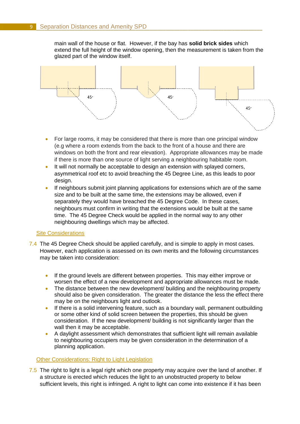main wall of the house or flat. However, if the bay has **solid brick sides** which extend the full height of the window opening, then the measurement is taken from the glazed part of the window itself.



- For large rooms, it may be considered that there is more than one principal window (e.g where a room extends from the back to the front of a house and there are windows on both the front and rear elevation). Appropriate allowances may be made if there is more than one source of light serving a neighbouring habitable room.
- It will not normally be acceptable to design an extension with splayed corners, asymmetrical roof etc to avoid breaching the 45 Degree Line, as this leads to poor design.
- If neighbours submit joint planning applications for extensions which are of the same size and to be built at the same time, the extensions may be allowed, even if separately they would have breached the 45 Degree Code. In these cases, neighbours must confirm in writing that the extensions would be built at the same time. The 45 Degree Check would be applied in the normal way to any other neighbouring dwellings which may be affected.

### Site Considerations

- 7.4 The 45 Degree Check should be applied carefully, and is simple to apply in most cases. However, each application is assessed on its own merits and the following circumstances may be taken into consideration:
	- If the ground levels are different between properties. This may either improve or worsen the effect of a new development and appropriate allowances must be made.
	- The distance between the new development/ building and the neighbouring property should also be given consideration. The greater the distance the less the effect there may be on the neighbours light and outlook.
	- If there is a solid intervening feature, such as a boundary wall, permanent outbuilding or some other kind of solid screen between the properties, this should be given consideration. If the new development/ building is not significantly larger than the wall then it may be acceptable.
	- A daylight assessment which demonstrates that sufficient light will remain available to neighbouring occupiers may be given consideration in the determination of a planning application.

### Other Considerations: Right to Light Legislation

7.5 The right to light is a legal right which one property may acquire over the land of another. If a structure is erected which reduces the light to an unobstructed property to below sufficient levels, this right is infringed. A right to light can come into existence if it has been